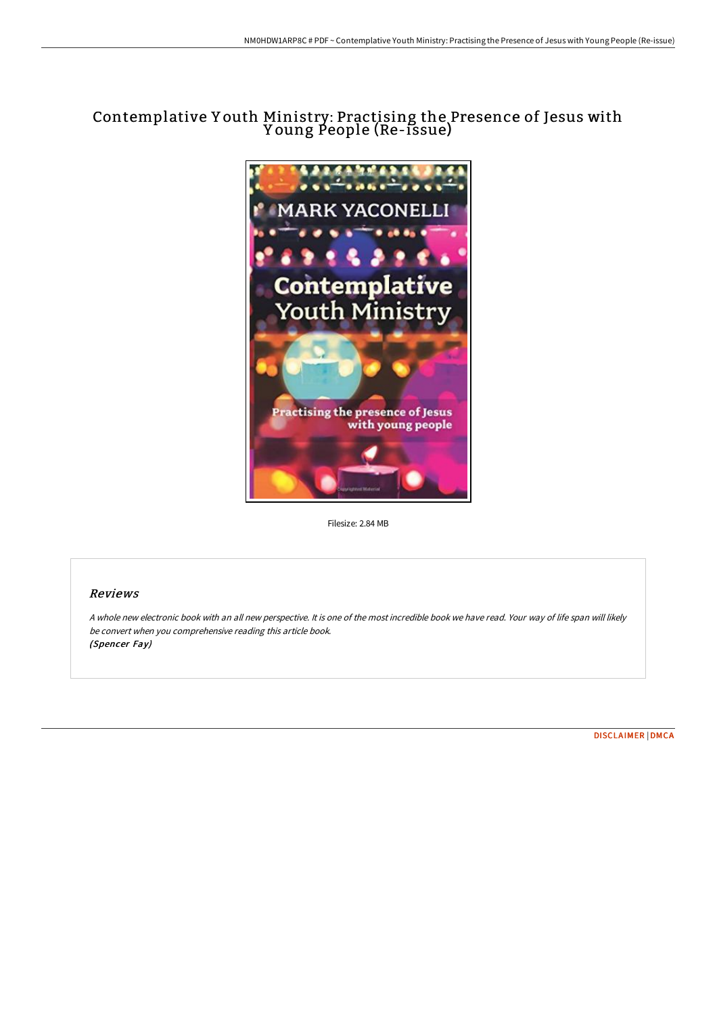# Contemplative Y outh Ministry: Practising the Presence of Jesus with Y oung People (Re-issue)



Filesize: 2.84 MB

#### Reviews

A whole new electronic book with an all new perspective. It is one of the most incredible book we have read. Your way of life span will likely be convert when you comprehensive reading this article book. (Spencer Fay)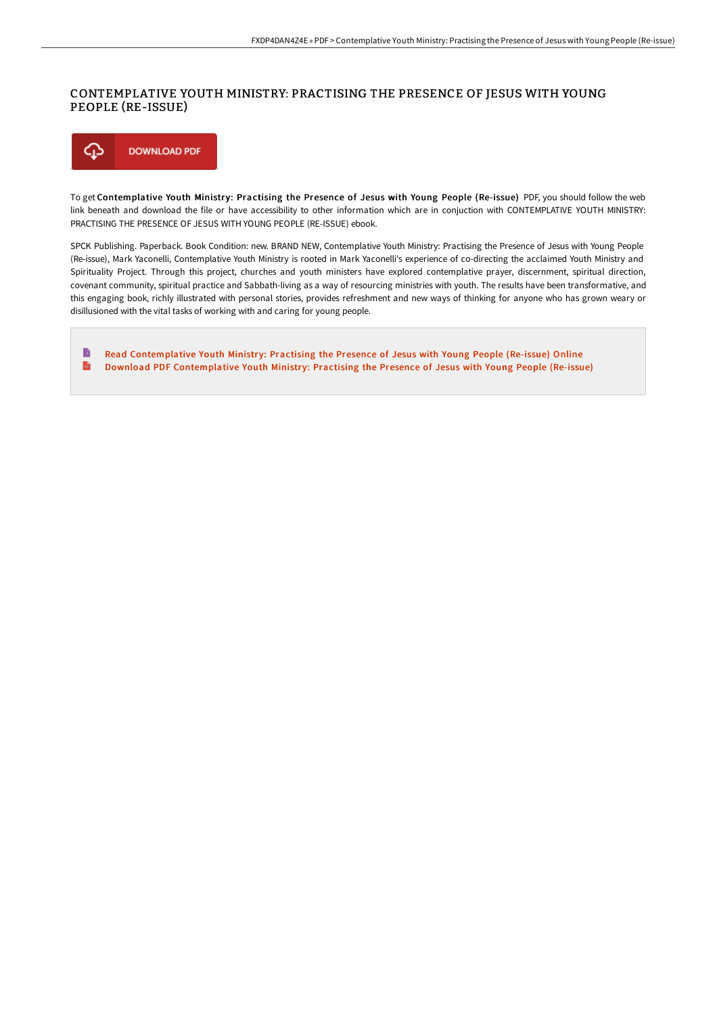### CONTEMPLATIVE YOUTH MINISTRY: PRACTISING THE PRESENCE OF JESUS WITH YOUNG PEOPLE (RE-ISSUE)



To get Contemplative Youth Ministry: Practising the Presence of Jesus with Young People (Re-issue) PDF, you should follow the web link beneath and download the file or have accessibility to other information which are in conjuction with CONTEMPLATIVE YOUTH MINISTRY: PRACTISING THE PRESENCE OF JESUS WITH YOUNG PEOPLE (RE-ISSUE) ebook.

SPCK Publishing. Paperback. Book Condition: new. BRAND NEW, Contemplative Youth Ministry: Practising the Presence of Jesus with Young People (Re-issue), Mark Yaconelli, Contemplative Youth Ministry is rooted in Mark Yaconelli's experience of co-directing the acclaimed Youth Ministry and Spirituality Project. Through this project, churches and youth ministers have explored contemplative prayer, discernment, spiritual direction, covenant community, spiritual practice and Sabbath-living as a way of resourcing ministries with youth. The results have been transformative, and this engaging book, richly illustrated with personal stories, provides refreshment and new ways of thinking for anyone who has grown weary or disillusioned with the vital tasks of working with and caring for young people.

B Read [Contemplative](http://albedo.media/contemplative-youth-ministry-practising-the-pres.html) Youth Ministry: Practising the Presence of Jesus with Young People (Re-issue) Online  $\overline{\mathbf{m}}$ Download PDF [Contemplative](http://albedo.media/contemplative-youth-ministry-practising-the-pres.html) Youth Ministry: Practising the Presence of Jesus with Young People (Re-issue)